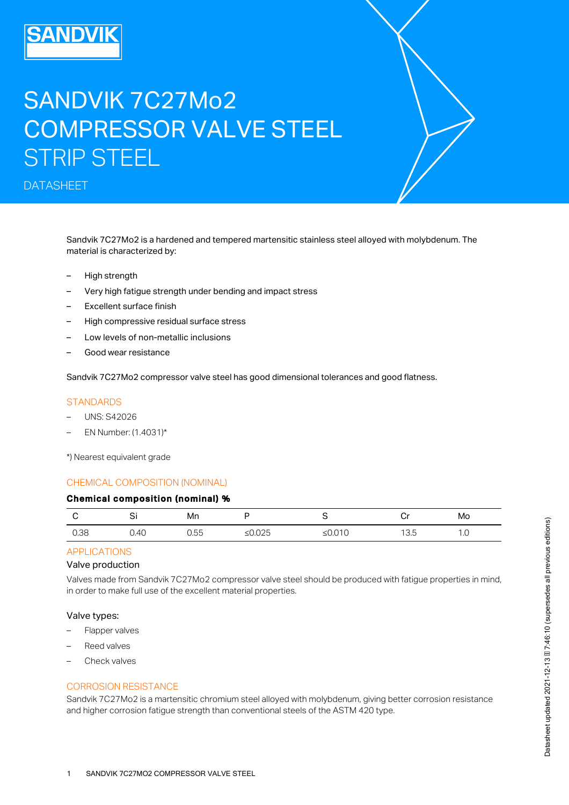# SANDVIK 7C27Mo2 COMPRESSOR VALVE STEEL STRIP STEEL

DATASHEET

Sandvik 7C27Mo2 is a hardened and tempered martensitic stainless steel alloyed with molybdenum. The material is characterized by:

- High strength
- Very high fatigue strength under bending and impact stress
- Excellent surface finish
- High compressive residual surface stress
- Low levels of non-metallic inclusions
- Good wear resistance

Sandvik 7C27Mo2 compressor valve steel has good dimensional tolerances and good flatness.

#### **STANDARDS**

- UNS: S42026
- EN Number: (1.4031)\*

\*) Nearest equivalent grade

#### CHEMICAL COMPOSITION (NOMINAL)

#### Chemical composition (nominal) %

|      | $\cdot$ | Mn           |         |    | <b>n</b> .,<br>יש | Mo               |
|------|---------|--------------|---------|----|-------------------|------------------|
| 0.38 | 0.40    | $ -$<br>J.55 | -90.025 | -- | $\cdot$ U.U       | $\cdot$ . $\cup$ |

# APPLICATIONS

#### Valve production

Valves made from Sandvik 7C27Mo2 compressor valve steel should be produced with fatigue properties in mind, in order to make full use of the excellent material properties.

#### Valve types:

- Flapper valves
- Reed valves
- Check valves

#### CORROSION RESISTANCE

Sandvik 7C27Mo2 is a martensitic chromium steel alloyed with molybdenum, giving better corrosion resistance and higher corrosion fatigue strength than conventional steels of the ASTM 420 type.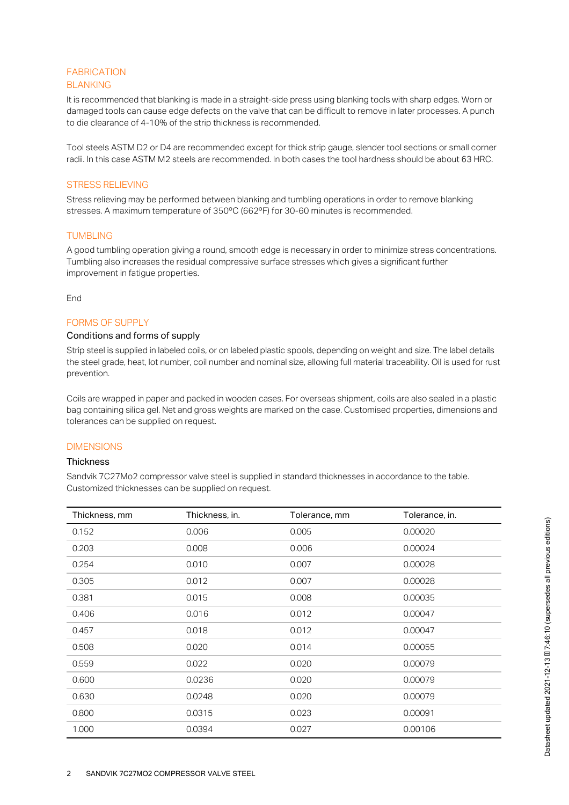#### **BLANKING** FABRICATION

It is recommended that blanking is made in a straight-side press using blanking tools with sharp edges. Worn or damaged tools can cause edge defects on the valve that can be difficult to remove in later processes. A punch to die clearance of 4-10% of the strip thickness is recommended.

Tool steels ASTM D2 or D4 are recommended except for thick strip gauge, slender tool sections or small corner radii. In this case ASTM M2 steels are recommended. In both cases the tool hardness should be about 63 HRC.

#### STRESS RELIEVING

Stress relieving may be performed between blanking and tumbling operations in order to remove blanking stresses. A maximum temperature of 350ºC (662ºF) for 30-60 minutes is recommended.

#### **TUMBLING**

A good tumbling operation giving a round, smooth edge is necessary in order to minimize stress concentrations. Tumbling also increases the residual compressive surface stresses which gives a significant further improvement in fatigue properties.

End

#### FORMS OF SUPPLY

#### Conditions and forms of supply

Strip steel is supplied in labeled coils, or on labeled plastic spools, depending on weight and size. The label details the steel grade, heat, lot number, coil number and nominal size, allowing full material traceability. Oil is used for rust prevention.

Coils are wrapped in paper and packed in wooden cases. For overseas shipment, coils are also sealed in a plastic bag containing silica gel. Net and gross weights are marked on the case. Customised properties, dimensions and tolerances can be supplied on request.

#### **DIMENSIONS**

#### **Thickness**

Sandvik 7C27Mo2 compressor valve steel is supplied in standard thicknesses in accordance to the table. Customized thicknesses can be supplied on request.

| Thickness, mm | Thickness, in. | Tolerance, mm | Tolerance, in. |
|---------------|----------------|---------------|----------------|
| 0.152         | 0.006          | 0.005         | 0.00020        |
| 0.203         | 0.008          | 0.006         | 0.00024        |
| 0.254         | 0.010          | 0.007         | 0.00028        |
| 0.305         | 0.012          | 0.007         | 0.00028        |
| 0.381         | 0.015          | 0.008         | 0.00035        |
| 0.406         | 0.016          | 0.012         | 0.00047        |
| 0.457         | 0.018          | 0.012         | 0.00047        |
| 0.508         | 0.020          | 0.014         | 0.00055        |
| 0.559         | 0.022          | 0.020         | 0.00079        |
| 0.600         | 0.0236         | 0.020         | 0.00079        |
| 0.630         | 0.0248         | 0.020         | 0.00079        |
| 0.800         | 0.0315         | 0.023         | 0.00091        |
| 1.000         | 0.0394         | 0.027         | 0.00106        |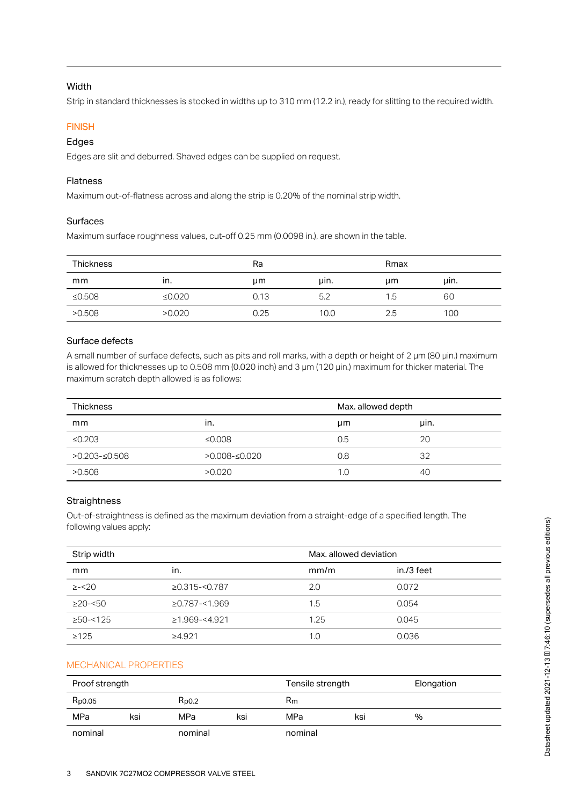#### Width

Strip in standard thicknesses is stocked in widths up to 310 mm (12.2 in.), ready for slitting to the required width.

#### **FINISH**

#### Edges

Edges are slit and deburred. Shaved edges can be supplied on request.

#### Flatness

Maximum out-of-flatness across and along the strip is 0.20% of the nominal strip width.

#### Surfaces

Maximum surface roughness values, cut-off 0.25 mm (0.0098 in.), are shown in the table.

| <b>Thickness</b> |           | Ra   |      | Rmax          |      |
|------------------|-----------|------|------|---------------|------|
| mm               | ın.       | μm   | uin. | µm            | uin. |
| ≤0.508           | ≤ $0.020$ | 0.13 | 5.2  | $1.5^{\circ}$ | 60   |
| >0.508           | >0.020    | 0.25 | 10.0 | 2.5           | 100  |

#### Surface defects

A small number of surface defects, such as pits and roll marks, with a depth or height of 2 µm (80 µin.) maximum is allowed for thicknesses up to 0.508 mm (0.020 inch) and 3 µm (120 µin.) maximum for thicker material. The maximum scratch depth allowed is as follows:

| <b>Thickness</b> |                  | Max. allowed depth |      |
|------------------|------------------|--------------------|------|
| mm               | In.              | μm                 | uin. |
| $\leq 0.203$     | $\leq 0.008$     | 0.5                | 20   |
| $>0.203 - 0.508$ | $>0.008 - 0.020$ | 0.8                | 32   |
| >0.508           | >0.020           | 1.0                | 40   |

## **Straightness**

Out-of-straightness is defined as the maximum deviation from a straight-edge of a specified length. The following values apply:

| Strip width          |                     | Max, allowed deviation |            |
|----------------------|---------------------|------------------------|------------|
| mm                   | in.                 | mm/m                   | in./3 feet |
| $\ge -20$            | $\geq$ 0.315-<0.787 | 2.0                    | 0.072      |
| $\geq$ 20- $\leq$ 50 | $\geq$ 0.787-<1.969 | 1.5                    | 0.054      |
| $\geq$ 50-<125       | $\geq$ 1.969-<4.921 | 1.25                   | 0.045      |
| $\geq 125$           | $\geq 4.921$        | 1.0                    | 0.036      |

# MECHANICAL PROPERTIES

| Proof strength     |     |            |     | Tensile strength |     | Elongation |
|--------------------|-----|------------|-----|------------------|-----|------------|
| R <sub>p0.05</sub> |     | $R_{D0.2}$ |     | Rm               |     |            |
| MPa                | ksi | MPa        | ksi | MPa              | ksi | %          |
| nominal            |     | nominal    |     | nominal          |     |            |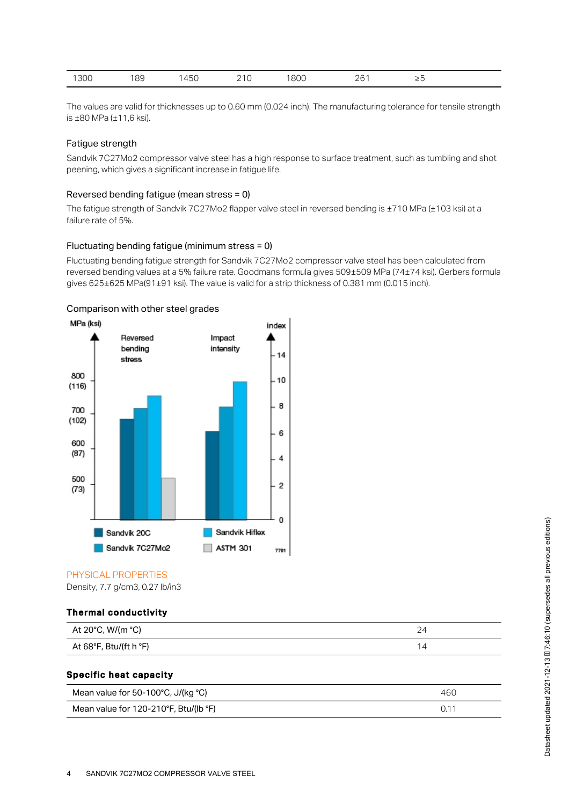| 800<br>300<br>189<br>761<br>145C<br>◡<br>. ب _<br>$=$ $\sim$<br><u>_</u><br>$\sim$<br>$\sim$<br>___ |
|-----------------------------------------------------------------------------------------------------|
|-----------------------------------------------------------------------------------------------------|

The values are valid for thicknesses up to 0.60 mm (0.024 inch). The manufacturing tolerance for tensile strength is ±80 MPa (±11,6 ksi).

#### Fatigue strength

Sandvik 7C27Mo2 compressor valve steel has a high response to surface treatment, such as tumbling and shot peening, which gives a significant increase in fatigue life.

#### Reversed bending fatigue (mean stress = 0)

The fatigue strength of Sandvik 7C27Mo2 flapper valve steel in reversed bending is ±710 MPa (±103 ksi) at a failure rate of 5%.

#### Fluctuating bending fatigue (minimum stress = 0)

Fluctuating bending fatigue strength for Sandvik 7C27Mo2 compressor valve steel has been calculated from reversed bending values at a 5% failure rate. Goodmans formula gives 509±509 MPa (74±74 ksi). Gerbers formula gives 625±625 MPa(91±91 ksi). The value is valid for a strip thickness of 0.381 mm (0.015 inch).



#### Comparison with other steel grades

#### PHYSICAL PROPERTIES

Density, 7.7 g/cm3, 0.27 lb/in3

#### Thermal conductivity

| At 20°C, W/(m °C)      |  |
|------------------------|--|
| At 68°F, Btu/(ft h °F) |  |

# Specific heat capacity

| Mean value for 50-100°C, J/(kg °C)    | 460 |
|---------------------------------------|-----|
| Mean value for 120-210°F, Btu/(lb °F) |     |

# Datasheet updated 2021-12-13 III 7:46:10 (supersedes all previous editions) Datasheet updated 2021-12-13  $\textcolor{red}{\overline{\text{II}}}$  7:46:10 (supersedes all previous editions)